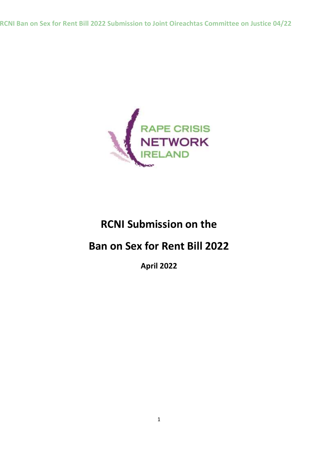**RCNI Ban on Sex for Rent Bill 2022 Submission to Joint Oireachtas Committee on Justice 04/22**



# **RCNI Submission on the**

# **Ban on Sex for Rent Bill 2022**

**April 2022**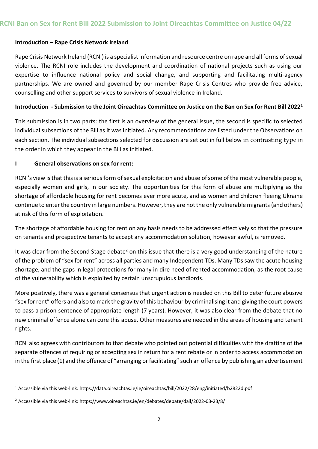#### **Introduction – Rape Crisis Network Ireland**

Rape Crisis Network Ireland (RCNI) is a specialist information and resource centre on rape and all forms of sexual violence. The RCNI role includes the development and coordination of national projects such as using our expertise to influence national policy and social change, and supporting and facilitating multi-agency partnerships. We are owned and governed by our member Rape Crisis Centres who provide free advice, counselling and other support services to survivors of sexual violence in Ireland.

#### **Introduction - Submission to the Joint Oireachtas Committee on Justice on the Ban on Sex for Rent Bill 2022<sup>1</sup>**

This submission is in two parts: the first is an overview of the general issue, the second is specific to selected individual subsections of the Bill as it was initiated. Any recommendations are listed under the Observations on each section. The individual subsections selected for discussion are set out in full below in contrasting type in the order in which they appear in the Bill as initiated.

#### **I General observations on sex for rent:**

1

RCNI's view is that this is a serious form of sexual exploitation and abuse of some of the most vulnerable people, especially women and girls, in our society. The opportunities for this form of abuse are multiplying as the shortage of affordable housing for rent becomes ever more acute, and as women and children fleeing Ukraine continue to enter the country in large numbers. However, they are not the only vulnerable migrants (and others) at risk of this form of exploitation.

The shortage of affordable housing for rent on any basis needs to be addressed effectively so that the pressure on tenants and prospective tenants to accept any accommodation solution, however awful, is removed.

It was clear from the Second Stage debate<sup>2</sup> on this issue that there is a very good understanding of the nature of the problem of "sex for rent" across all parties and many Independent TDs. Many TDs saw the acute housing shortage, and the gaps in legal protections for many in dire need of rented accommodation, as the root cause of the vulnerability which is exploited by certain unscrupulous landlords.

More positively, there was a general consensus that urgent action is needed on this Bill to deter future abusive "sex for rent" offers and also to mark the gravity of this behaviour by criminalising it and giving the court powers to pass a prison sentence of appropriate length (7 years). However, it was also clear from the debate that no new criminal offence alone can cure this abuse. Other measures are needed in the areas of housing and tenant rights.

RCNI also agrees with contributors to that debate who pointed out potential difficulties with the drafting of the separate offences of requiring or accepting sex in return for a rent rebate or in order to access accommodation in the first place (1) and the offence of "arranging or facilitating" such an offence by publishing an advertisement

<sup>1</sup> Accessible via this web-link: https://data.oireachtas.ie/ie/oireachtas/bill/2022/28/eng/initiated/b2822d.pdf

<sup>2</sup> Accessible via this web-link: https://www.oireachtas.ie/en/debates/debate/dail/2022-03-23/8/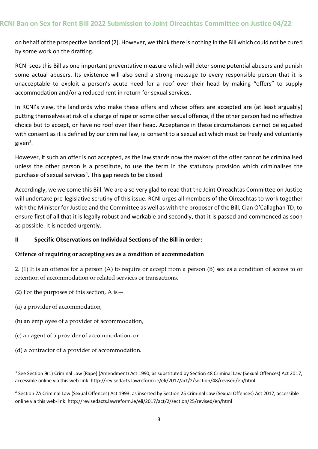on behalf of the prospective landlord (2). However, we think there is nothing in the Bill which could not be cured by some work on the drafting.

RCNI sees this Bill as one important preventative measure which will deter some potential abusers and punish some actual abusers. Its existence will also send a strong message to every responsible person that it is unacceptable to exploit a person's acute need for a roof over their head by making "offers" to supply accommodation and/or a reduced rent in return for sexual services.

In RCNI's view, the landlords who make these offers and whose offers are accepted are (at least arguably) putting themselves at risk of a charge of rape or some other sexual offence, if the other person had no effective choice but to accept, or have no roof over their head. Acceptance in these circumstances cannot be equated with consent as it is defined by our criminal law, ie consent to a sexual act which must be freely and voluntarily given<sup>3</sup>.

However, if such an offer is not accepted, as the law stands now the maker of the offer cannot be criminalised unless the other person is a prostitute, to use the term in the statutory provision which criminalises the purchase of sexual services<sup>4</sup>. This gap needs to be closed.

Accordingly, we welcome this Bill. We are also very glad to read that the Joint Oireachtas Committee on Justice will undertake pre-legislative scrutiny of this issue. RCNI urges all members of the Oireachtas to work together with the Minister for Justice and the Committee as well as with the proposer of the Bill, Cian O'Callaghan TD, to ensure first of all that it is legally robust and workable and secondly, that it is passed and commenced as soon as possible. It is needed urgently.

## **II Specific Observations on Individual Sections of the Bill in order:**

## **Offence of requiring or accepting sex as a condition of accommodation**

2. (1) It is an offence for a person (A) to require or accept from a person (B) sex as a condition of access to or retention of accommodation or related services or transactions.

- (2) For the purposes of this section,  $A$  is  $-$
- (a) a provider of accommodation,

1

- (b) an employee of a provider of accommodation,
- (c) an agent of a provider of accommodation, or
- (d) a contractor of a provider of accommodation.

<sup>&</sup>lt;sup>3</sup> See Section 9(1) Criminal Law (Rape) (Amendment) Act 1990, as substituted by Section 48 Criminal Law (Sexual Offences) Act 2017, accessible online via this web-link: http://revisedacts.lawreform.ie/eli/2017/act/2/section/48/revised/en/html

<sup>4</sup> Section 7A Criminal Law (Sexual Offences) Act 1993, as inserted by Section 25 Criminal Law (Sexual Offences) Act 2017, accessible online via this web-link: http://revisedacts.lawreform.ie/eli/2017/act/2/section/25/revised/en/html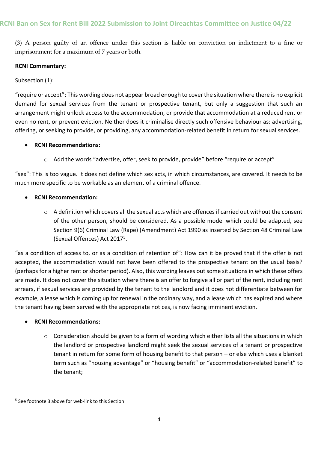(3) A person guilty of an offence under this section is liable on conviction on indictment to a fine or imprisonment for a maximum of 7 years or both.

## **RCNI Commentary:**

Subsection (1):

"require or accept": This wording does not appear broad enough to cover the situation where there is no explicit demand for sexual services from the tenant or prospective tenant, but only a suggestion that such an arrangement might unlock access to the accommodation, or provide that accommodation at a reduced rent or even no rent, or prevent eviction. Neither does it criminalise directly such offensive behaviour as: advertising, offering, or seeking to provide, or providing, any accommodation-related benefit in return for sexual services.

## **RCNI Recommendations:**

 $\circ$  Add the words "advertise, offer, seek to provide, provide" before "require or accept"

"sex": This is too vague. It does not define which sex acts, in which circumstances, are covered. It needs to be much more specific to be workable as an element of a criminal offence.

## **RCNI Recommendation:**

 $\circ$  A definition which covers all the sexual acts which are offences if carried out without the consent of the other person, should be considered. As a possible model which could be adapted, see Section 9(6) Criminal Law (Rape) (Amendment) Act 1990 as inserted by Section 48 Criminal Law (Sexual Offences) Act 2017<sup>5</sup>.

"as a condition of access to, or as a condition of retention of": How can it be proved that if the offer is not accepted, the accommodation would not have been offered to the prospective tenant on the usual basis? (perhaps for a higher rent or shorter period). Also, this wording leaves out some situations in which these offers are made. It does not cover the situation where there is an offer to forgive all or part of the rent, including rent arrears, if sexual services are provided by the tenant to the landlord and it does not differentiate between for example, a lease which is coming up for renewal in the ordinary way, and a lease which has expired and where the tenant having been served with the appropriate notices, is now facing imminent eviction.

## **RCNI Recommendations:**

o Consideration should be given to a form of wording which either lists all the situations in which the landlord or prospective landlord might seek the sexual services of a tenant or prospective tenant in return for some form of housing benefit to that person – or else which uses a blanket term such as "housing advantage" or "housing benefit" or "accommodation-related benefit" to the tenant;

1

<sup>&</sup>lt;sup>5</sup> See footnote 3 above for web-link to this Section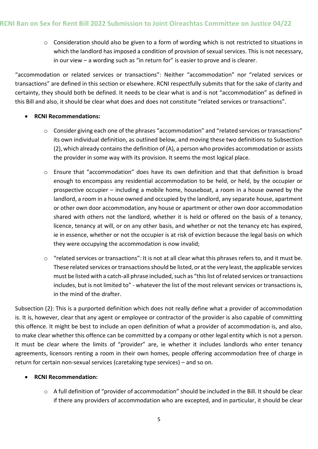$\circ$  Consideration should also be given to a form of wording which is not restricted to situations in which the landlord has imposed a condition of provision of sexual services. This is not necessary, in our view – a wording such as "in return for" is easier to prove and is clearer.

"accommodation or related services or transactions": Neither "accommodation" nor "related services or transactions" are defined in this section or elsewhere. RCNI respectfully submits that for the sake of clarity and certainty, they should both be defined. It needs to be clear what is and is not "accommodation" as defined in this Bill and also, it should be clear what does and does not constitute "related services or transactions".

## **RCNI Recommendations:**

- o Consider giving each one of the phrases "accommodation" and "related services or transactions" its own individual definition, as outlined below, and moving these two definitions to Subsection (2), which already contains the definition of (A), a person who provides accommodation or assists the provider in some way with its provision. It seems the most logical place.
- o Ensure that "accommodation" does have its own definition and that that definition is broad enough to encompass any residential accommodation to be held, or held, by the occupier or prospective occupier – including a mobile home, houseboat, a room in a house owned by the landlord, a room in a house owned and occupied by the landlord, any separate house, apartment or other own door accommodation, any house or apartment or other own door accommodation shared with others not the landlord, whether it is held or offered on the basis of a tenancy, licence, tenancy at will, or on any other basis, and whether or not the tenancy etc has expired, ie in essence, whether or not the occupier is at risk of eviction because the legal basis on which they were occupying the accommodation is now invalid;
- o "related services or transactions": It is not at all clear what this phrases refers to, and it must be. These related services or transactions should be listed, or at the very least, the applicable services must be listed with a catch-all phrase included, such as "this list of related services or transactions includes, but is not limited to" - whatever the list of the most relevant services or transactions is, in the mind of the drafter.

Subsection (2): This is a purported definition which does not really define what a provider of accommodation is. It is, however, clear that any agent or employee or contractor of the provider is also capable of committing this offence. It might be best to include an open definition of what a provider of accommodation is, and also, to make clear whether this offence can be committed by a company or other legal entity which is not a person. It must be clear where the limits of "provider" are, ie whether it includes landlords who enter tenancy agreements, licensors renting a room in their own homes, people offering accommodation free of charge in return for certain non-sexual services (caretaking type services) – and so on.

# **RCNI Recommendation:**

o A full definition of "provider of accommodation" should be included in the Bill. It should be clear if there any providers of accommodation who are excepted, and in particular, it should be clear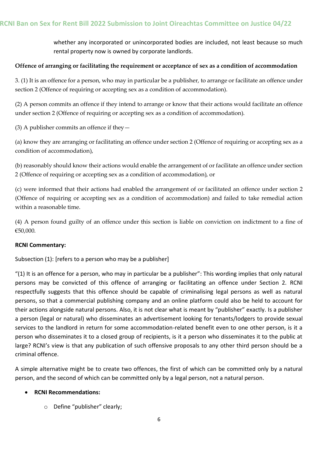whether any incorporated or unincorporated bodies are included, not least because so much rental property now is owned by corporate landlords.

## **Offence of arranging or facilitating the requirement or acceptance of sex as a condition of accommodation**

3. (1) It is an offence for a person, who may in particular be a publisher, to arrange or facilitate an offence under section 2 (Offence of requiring or accepting sex as a condition of accommodation).

(2) A person commits an offence if they intend to arrange or know that their actions would facilitate an offence under section 2 (Offence of requiring or accepting sex as a condition of accommodation).

(3) A publisher commits an offence if they  $-$ 

(a) know they are arranging or facilitating an offence under section 2 (Offence of requiring or accepting sex as a condition of accommodation),

(b) reasonably should know their actions would enable the arrangement of or facilitate an offence under section 2 (Offence of requiring or accepting sex as a condition of accommodation), or

(c) were informed that their actions had enabled the arrangement of or facilitated an offence under section 2 (Offence of requiring or accepting sex as a condition of accommodation) and failed to take remedial action within a reasonable time.

(4) A person found guilty of an offence under this section is liable on conviction on indictment to a fine of €50,000.

## **RCNI Commentary:**

Subsection (1): [refers to a person who may be a publisher]

"(1) It is an offence for a person, who may in particular be a publisher": This wording implies that only natural persons may be convicted of this offence of arranging or facilitating an offence under Section 2. RCNI respectfully suggests that this offence should be capable of criminalising legal persons as well as natural persons, so that a commercial publishing company and an online platform could also be held to account for their actions alongside natural persons. Also, it is not clear what is meant by "publisher" exactly. Is a publisher a person (legal or natural) who disseminates an advertisement looking for tenants/lodgers to provide sexual services to the landlord in return for some accommodation-related benefit even to one other person, is it a person who disseminates it to a closed group of recipients, is it a person who disseminates it to the public at large? RCNI's view is that any publication of such offensive proposals to any other third person should be a criminal offence.

A simple alternative might be to create two offences, the first of which can be committed only by a natural person, and the second of which can be committed only by a legal person, not a natural person.

## **RCNI Recommendations:**

o Define "publisher" clearly;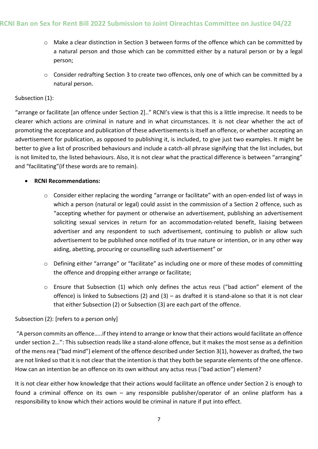- o Make a clear distinction in Section 3 between forms of the offence which can be committed by a natural person and those which can be committed either by a natural person or by a legal person;
- o Consider redrafting Section 3 to create two offences, only one of which can be committed by a natural person.

## Subsection (1):

"arrange or facilitate [an offence under Section 2].." RCNI's view is that this is a little imprecise. It needs to be clearer which actions are criminal in nature and in what circumstances. It is not clear whether the act of promoting the acceptance and publication of these advertisements is itself an offence, or whether accepting an advertisement for publication, as opposed to publishing it, is included, to give just two examples. It might be better to give a list of proscribed behaviours and include a catch-all phrase signifying that the list includes, but is not limited to, the listed behaviours. Also, it is not clear what the practical difference is between "arranging" and "facilitating"(if these words are to remain).

## **RCNI Recommendations:**

- o Consider either replacing the wording "arrange or facilitate" with an open-ended list of ways in which a person (natural or legal) could assist in the commission of a Section 2 offence, such as "accepting whether for payment or otherwise an advertisement, publishing an advertisement soliciting sexual services in return for an accommodation-related benefit, liaising between advertiser and any respondent to such advertisement, continuing to publish or allow such advertisement to be published once notified of its true nature or intention, or in any other way aiding, abetting, procuring or counselling such advertisement" or
- o Defining either "arrange" or "facilitate" as including one or more of these modes of committing the offence and dropping either arrange or facilitate;
- $\circ$  Ensure that Subsection (1) which only defines the actus reus ("bad action" element of the offence) is linked to Subsections (2) and (3) – as drafted it is stand-alone so that it is not clear that either Subsection (2) or Subsection (3) are each part of the offence.

## Subsection (2): [refers to a person only]

"A person commits an offence…..if they intend to arrange or know that their actions would facilitate an offence under section 2…": This subsection reads like a stand-alone offence, but it makes the most sense as a definition of the mens rea ("bad mind") element of the offence described under Section 3(1), however as drafted, the two are not linked so that it is not clear that the intention is that they both be separate elements of the one offence. How can an intention be an offence on its own without any actus reus ("bad action") element?

It is not clear either how knowledge that their actions would facilitate an offence under Section 2 is enough to found a criminal offence on its own – any responsible publisher/operator of an online platform has a responsibility to know which their actions would be criminal in nature if put into effect.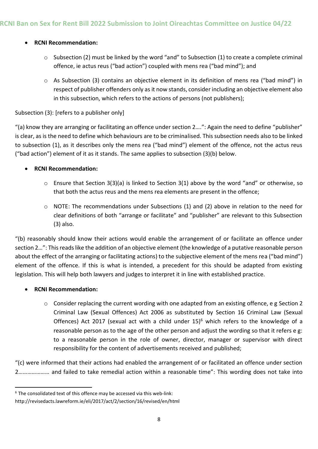## **RCNI Recommendation:**

- $\circ$  Subsection (2) must be linked by the word "and" to Subsection (1) to create a complete criminal offence, ie actus reus ("bad action") coupled with mens rea ("bad mind"); and
- $\circ$  As Subsection (3) contains an objective element in its definition of mens rea ("bad mind") in respect of publisher offenders only as it now stands, consider including an objective element also in this subsection, which refers to the actions of persons (not publishers);

## Subsection (3): [refers to a publisher only]

"(a) know they are arranging or facilitating an offence under section 2….": Again the need to define "publisher" is clear, as is the need to define which behaviours are to be criminalised. This subsection needs also to be linked to subsection (1), as it describes only the mens rea ("bad mind") element of the offence, not the actus reus ("bad action") element of it as it stands. The same applies to subsection (3)(b) below.

# **RCNI Recommendation:**

- o Ensure that Section 3(3)(a) is linked to Section 3(1) above by the word "and" or otherwise, so that both the actus reus and the mens rea elements are present in the offence;
- $\circ$  NOTE: The recommendations under Subsections (1) and (2) above in relation to the need for clear definitions of both "arrange or facilitate" and "publisher" are relevant to this Subsection (3) also.

"(b) reasonably should know their actions would enable the arrangement of or facilitate an offence under section 2…": This reads like the addition of an objective element (the knowledge of a putative reasonable person about the effect of the arranging or facilitating actions) to the subjective element of the mens rea ("bad mind") element of the offence. If this is what is intended, a precedent for this should be adapted from existing legislation. This will help both lawyers and judges to interpret it in line with established practice.

## **RCNI Recommendation:**

 $\circ$  Consider replacing the current wording with one adapted from an existing offence, e g Section 2 Criminal Law (Sexual Offences) Act 2006 as substituted by Section 16 Criminal Law (Sexual Offences) Act 2017 (sexual act with a child under  $15$ <sup>6</sup> which refers to the knowledge of a reasonable person as to the age of the other person and adjust the wording so that it refers e g: to a reasonable person in the role of owner, director, manager or supervisor with direct responsibility for the content of advertisements received and published;

"(c) were informed that their actions had enabled the arrangement of or facilitated an offence under section 2………………… and failed to take remedial action within a reasonable time": This wording does not take into

 $\overline{a}$  $6$  The consolidated text of this offence may be accessed via this web-link:

http://revisedacts.lawreform.ie/eli/2017/act/2/section/16/revised/en/html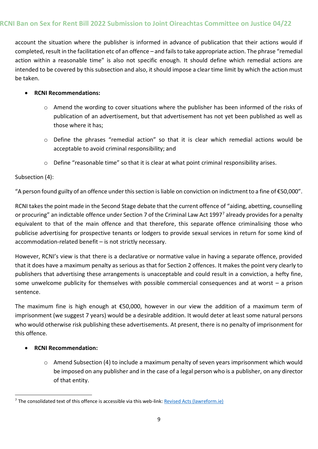account the situation where the publisher is informed in advance of publication that their actions would if completed, result in the facilitation etc of an offence – and fails to take appropriate action. The phrase "remedial action within a reasonable time" is also not specific enough. It should define which remedial actions are intended to be covered by this subsection and also, it should impose a clear time limit by which the action must be taken.

## **RCNI Recommendations:**

- o Amend the wording to cover situations where the publisher has been informed of the risks of publication of an advertisement, but that advertisement has not yet been published as well as those where it has;
- $\circ$  Define the phrases "remedial action" so that it is clear which remedial actions would be acceptable to avoid criminal responsibility; and
- o Define "reasonable time" so that it is clear at what point criminal responsibility arises.

## Subsection (4):

"A person found guilty of an offence under this section is liable on conviction on indictment to a fine of €50,000".

RCNI takes the point made in the Second Stage debate that the current offence of "aiding, abetting, counselling or procuring" an indictable offence under Section 7 of the Criminal Law Act 1997<sup>7</sup> already provides for a penalty equivalent to that of the main offence and that therefore, this separate offence criminalising those who publicise advertising for prospective tenants or lodgers to provide sexual services in return for some kind of accommodation-related benefit – is not strictly necessary.

However, RCNI's view is that there is a declarative or normative value in having a separate offence, provided that it does have a maximum penalty as serious as that for Section 2 offences. It makes the point very clearly to publishers that advertising these arrangements is unacceptable and could result in a conviction, a hefty fine, some unwelcome publicity for themselves with possible commercial consequences and at worst – a prison sentence.

The maximum fine is high enough at €50,000, however in our view the addition of a maximum term of imprisonment (we suggest 7 years) would be a desirable addition. It would deter at least some natural persons who would otherwise risk publishing these advertisements. At present, there is no penalty of imprisonment for this offence.

## **RCNI Recommendation:**

1

o Amend Subsection (4) to include a maximum penalty of seven years imprisonment which would be imposed on any publisher and in the case of a legal person who is a publisher, on any director of that entity.

<sup>7</sup> The consolidated text of this offence is accessible via this web-link: [Revised Acts \(lawreform.ie\)](http://revisedacts.lawreform.ie/eli/1997/act/14/section/7/revised/en/html)